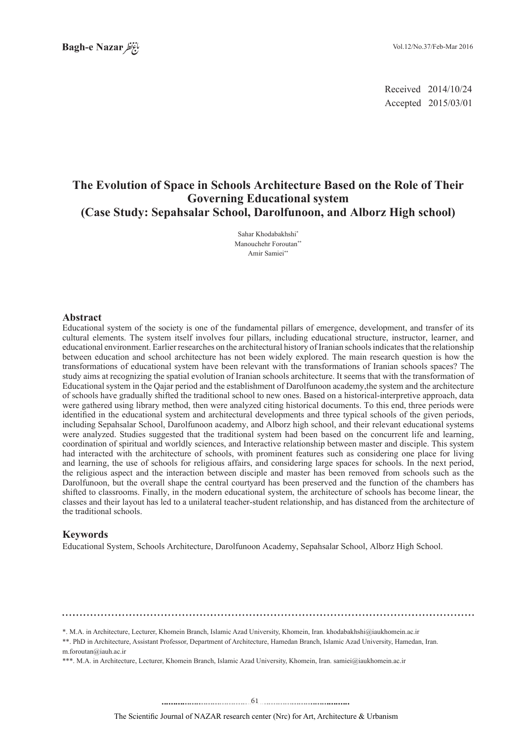2014/10/24 Received 2015/03/01 Accepted

# **The Evolution of Space in Schools Architecture Based on the Role of Their Governing Educational system (Case Study: Sepahsalar School, Darolfunoon, and Alborz High school)**

Sahar Khodabakhshi\* Manouchehr Foroutan\* Amir Samiei\*\*

#### **Abstract**

Educational system of the society is one of the fundamental pillars of emergence, development, and transfer of its cultural elements. The system itself involves four pillars, including educational structure, instructor, learner, and relational environment. Earlier researches on the architectural history of Iranian schools indicates that the relationship between education and school architecture has not been widely explored. The main research question is how the transformations of educational system have been relevant with the transformations of Iranian schools spaces? The study aims at recognizing the spatial evolution of Iranian schools architecture. It seems that with the transformation of Educational system in the Qajar period and the establishment of Darolfunoon academy, the system and the architecture of schools have gradually shifted the traditional school to new ones. Based on a historical-interpretive approach, data were gathered using library method, then were analyzed citing historical documents. To this end, three periods were identified in the educational system and architectural developments and three typical schools of the given periods, including Sepahsalar School, Darolfunoon academy, and Alborz high school, and their relevant educational systems were analyzed. Studies suggested that the traditional system had been based on the concurrent life and learning, coordination of spiritual and worldly sciences, and Interactive relationship between master and disciple. This system had interacted with the architecture of schools, with prominent features such as considering one place for living and learning, the use of schools for religious affairs, and considering large spaces for schools. In the next period, the religious aspect and the interaction between disciple and master has been removed from schools such as the Darolfunoon, but the overall shape the central courtyard has been preserved and the function of the chambers has shifted to classrooms. Finally, in the modern educational system, the architecture of schools has become linear, the classes and their layout has led to a unilateral teacher-student relationship, and has distanced from the architecture of the traditional schools.

#### **Keywords**

Educational System, Schools Architecture, Darolfunoon Academy, Sepahsalar School, Alborz High School.

\*. M.A. in Architecture, Lecturer, Khomein Branch, Islamic Azad University, Khomein, Iran. khodabakhshi@iaukhomein.ac.ir

\*\*, PhD in Architecture, Assistant Professor, Department of Architecture, Hamedan Branch, Islamic Azad University, Hamedan, Iran.  $m$ .foroutan@iauh.ac.ir

\*\*\*. M.A. in Architecture, Lecturer, Khomein Branch, Islamic Azad University, Khomein, Iran. samiei@iaukhomein.ac.ir

Urbanism & Architecture ,Art for) Nrc (center research NAZAR of Journal Scientific The .......... ....... ........ ........... . .. . .......................................61..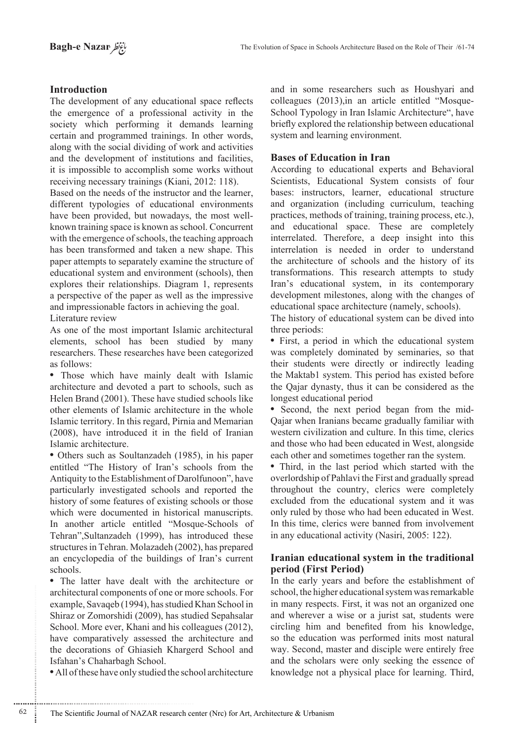# **Introduction**

The development of any educational space reflects the emergence of a professional activity in the society which performing it demands learning certain and programmed trainings. In other words, along with the social dividing of work and activities and the development of institutions and facilities, it is impossible to accomplish some works without receiving necessary trainings (Kiani, 2012: 118).

Based on the needs of the instructor and the learner, different typologies of educational environments have been provided, but nowadays, the most well-<br>known training space is known as school. Concurrent with the emergence of schools, the teaching approach has been transformed and taken a new shape. This paper attempts to separately examine the structure of educational system and environment (schools), then explores their relationships. Diagram 1, represents a perspective of the paper as well as the impressive and impressionable factors in achieving the goal. Literature review

As one of the most important Islamic architectural elements, school has been studied by many researchers. These researches have been categorized as follows:

• Those which have mainly dealt with Islamic architecture and devoted a part to schools, such as Helen Brand (2001). These have studied schools like other elements of Islamic architecture in the whole Islamic territory. In this regard, Pirnia and Memarian  $(2008)$ , have introduced it in the field of Iranian Islamic architecture.

• Others such as Soultanzadeh (1985), in his paper entitled "The History of Iran's schools from the Antiquity to the Establishment of Darolfunoon", have particularly investigated schools and reported the history of some features of existing schools or those which were documented in historical manuscripts. In another article entitled "Mosque-Schools of Tehran", Sultanzadeh (1999), has introduced these structures in Tehran. Molazadeh (2002), has prepared an encyclopedia of the buildings of Iran's current .schools

• The latter have dealt with the architecture or architectural components of one or more schools. For example, Savaqeb (1994), has studied Khan School in Shiraz or Zomorshidi (2009), has studied Sepahsalar School. More ever, Khani and his colleagues (2012), have comparatively assessed the architecture and the decorations of Ghiasieh Khargerd School and Isfahan's Chaharbagh School.

• All of these have only studied the school architecture

............................................................

and in some researchers such as Houshyari and School Typology in Iran Islamic Architecture", have colleagues  $(2013)$ , in an article entitled "Mosquebriefly explored the relationship between educational system and learning environment.

## **Bases of Education in Iran**

According to educational experts and Behavioral Scientists, Educational System consists of four bases: instructors, learner, educational structure and organization (including curriculum, teaching practices, methods of training, training process, etc.), and educational space. These are completely interrelated. Therefore, a deep insight into this interrelation is needed in order to understand the architecture of schools and the history of its transformations. This research attempts to study Iran's educational system, in its contemporary development milestones, along with the changes of educational space architecture (namely, schools).

The history of educational system can be dived into three periods:

• First, a period in which the educational system was completely dominated by seminaries, so that their students were directly or indirectly leading the Maktab1 system. This period has existed before the Qajar dynasty, thus it can be considered as the longest educational period

• Second, the next period began from the mid-<br>Qajar-when Iranians became gradually familiar with western civilization and culture. In this time, clerics and those who had been educated in West, alongside each other and sometimes together ran the system.

• Third, in the last period which started with the overlordship of Pahlavi the First and gradually spread throughout the country, clerics were completely excluded from the educational system and it was only ruled by those who had been educated in West. In this time, clerics were banned from involvement in any educational activity (Nasiri,  $2005: 122$ ).

## **Iranian educational system in the traditional (Period (First Period)**

In the early years and before the establishment of school, the higher educational system was remarkable in many respects. First, it was not an organized one and wherever a wise or a jurist sat, students were circling him and benefited from his knowledge, so the education was performed inits most natural way. Second, master and disciple were entirely free and the scholars were only seeking the essence of knowledge not a physical place for learning. Third,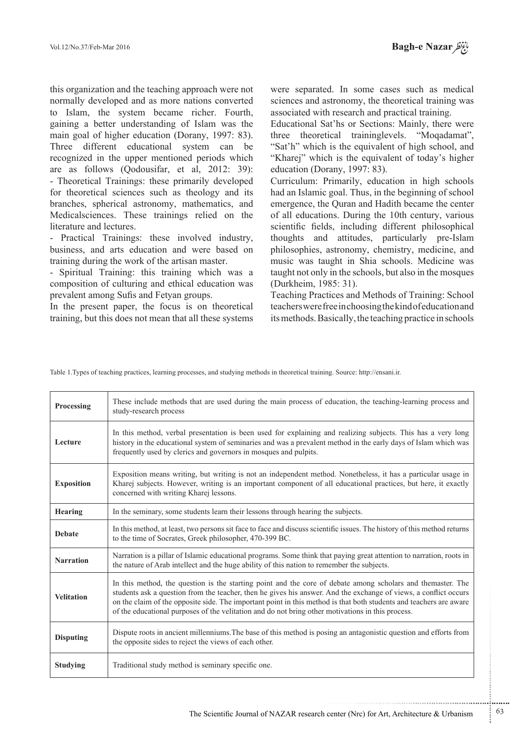this organization and the teaching approach were not normally developed and as more nations converted to Islam, the system became richer. Fourth, gaining a better understanding of Islam was the main goal of higher education (Dorany, 1997: 83). Three different educational system can be recognized in the upper mentioned periods which are as follows (Qodousifar, et al.  $2012: 39$ ): - Theoretical Trainings: these primarily developed for theoretical sciences such as theology and its branches, spherical astronomy, mathematics, and Medicalsciences. These trainings relied on the literature and lectures.

- Practical Trainings: these involved industry, business, and arts education and were based on training during the work of the artisan master.

- Spiritual Training: this training which was a composition of culturing and ethical education was prevalent among Sufis and Fetyan groups.

In the present paper, the focus is on theoretical training, but this does not mean that all these systems

were separated. In some cases such as medical sciences and astronomy, the theoretical training was associated with research and practical training.

Educational Sat'hs or Sections: Mainly, there were three theoretical traininglevels. "Mogadamat", "Sat'h" which is the equivalent of high school, and "Kharej" which is the equivalent of today's higher education (Dorany, 1997: 83).

Curriculum: Primarily, education in high schools had an Islamic goal. Thus, in the beginning of school emergence, the Quran and Hadith became the center of all educations. During the 10th century, various scientific fields, including different philosophical thoughts and attitudes, particularly pre-Islam philosophies, astronomy, chemistry, medicine, and music was taught in Shia schools. Medicine was taught not only in the schools, but also in the mosques (Durkheim, 1985: 31).

Teaching Practices and Methods of Training: School teachers were free in choosing the kind of education and its methods. Basically, the teaching practice in schools

Table 1. Types of teaching practices, learning processes, and studying methods in theoretical training. Source: http://ensani.ir.

| Processing        | These include methods that are used during the main process of education, the teaching-learning process and<br>study-research process                                                                                                                                                                                                                                                                                                                      |
|-------------------|------------------------------------------------------------------------------------------------------------------------------------------------------------------------------------------------------------------------------------------------------------------------------------------------------------------------------------------------------------------------------------------------------------------------------------------------------------|
| Lecture           | In this method, verbal presentation is been used for explaining and realizing subjects. This has a very long<br>history in the educational system of seminaries and was a prevalent method in the early days of Islam which was<br>frequently used by clerics and governors in mosques and pulpits.                                                                                                                                                        |
| <b>Exposition</b> | Exposition means writing, but writing is not an independent method. Nonetheless, it has a particular usage in<br>Kharej subjects. However, writing is an important component of all educational practices, but here, it exactly<br>concerned with writing Kharej lessons.                                                                                                                                                                                  |
| Hearing           | In the seminary, some students learn their lessons through hearing the subjects.                                                                                                                                                                                                                                                                                                                                                                           |
| <b>Debate</b>     | In this method, at least, two persons sit face to face and discuss scientific issues. The history of this method returns<br>to the time of Socrates, Greek philosopher, 470-399 BC.                                                                                                                                                                                                                                                                        |
| <b>Narration</b>  | Narration is a pillar of Islamic educational programs. Some think that paying great attention to narration, roots in<br>the nature of Arab intellect and the huge ability of this nation to remember the subjects.                                                                                                                                                                                                                                         |
| <b>Velitation</b> | In this method, the question is the starting point and the core of debate among scholars and themaster. The<br>students ask a question from the teacher, then he gives his answer. And the exchange of views, a conflict occurs<br>on the claim of the opposite side. The important point in this method is that both students and teachers are aware<br>of the educational purposes of the velitation and do not bring other motivations in this process. |
| <b>Disputing</b>  | Dispute roots in ancient millenniums. The base of this method is posing an antagonistic question and efforts from<br>the opposite sides to reject the views of each other.                                                                                                                                                                                                                                                                                 |
| Studying          | Traditional study method is seminary specific one.                                                                                                                                                                                                                                                                                                                                                                                                         |

...........................................................

.......... ....... ........ ........... ...... ....... ........ .......... ...........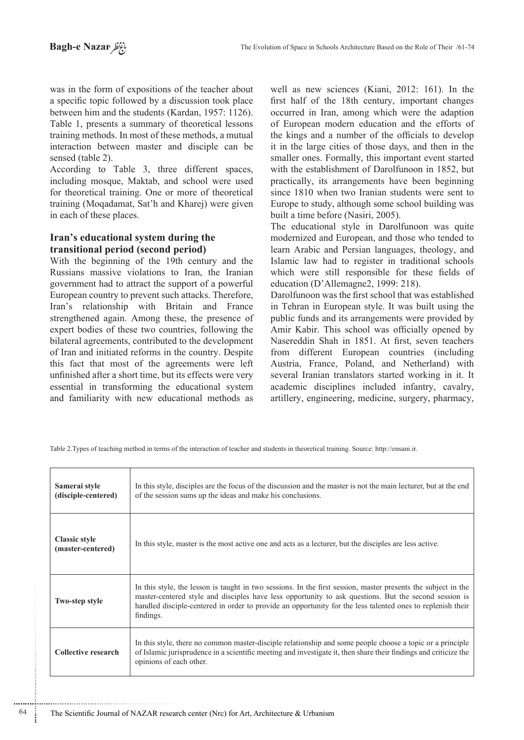was in the form of expositions of the teacher about a specific topic followed by a discussion took place between him and the students (Kardan, 1957: 1126). Table 1, presents a summary of theoretical lessons training methods. In most of these methods, a mutual interaction between master and disciple can be sensed (table 2).

According to Table 3, three different spaces, including mosque, Maktab, and school were used for theoretical training. One or more of theoretical training (Moqadamat, Sat'h and Kharej) were given in each of these places.

# **Iran's educational system during the (period (second period)**

With the beginning of the 19th century and the Russians massive violations to Iran, the Iranian government had to attract the support of a powerful European country to prevent such attacks. Therefore, Iran's relationship with Britain and France strengthened again. Among these, the presence of expert bodies of these two countries, following the bilateral agreements, contributed to the development of Iran and initiated reforms in the country. Despite this fact that most of the agreements were left unfinished after a short time, but its effects were very essential in transforming the educational system and familiarity with new educational methods as

well as new sciences (Kiani, 2012: 161). In the first half of the 18th century, important changes occurred in Iran, among which were the adaption of European modern education and the efforts of the kings and a number of the officials to develop it in the large cities of those days, and then in the smaller ones. Formally, this important event started with the establishment of Darolfunoon in 1852, but practically, its arrangements have been beginning since 1810 when two Iranian students were sent to Europe to study, although some school building was built a time before (Nasiri, 2005).

The educational style in Darolfunoon was quite modernized and European, and those who tended to learn Arabic and Persian languages, theology, and Islamic law had to register in traditional schools which were still responsible for these fields of education (D'Allemagne2, 1999: 218).

Darolfunoon was the first school that was established in Tehran in European style. It was built using the public funds and its arrangements were provided by Amir Kabir. This school was officially opened by Nasereddin Shah in 1851. At first, seven teachers from different European countries (including Austria, France, Poland, and Netherland) with several Iranian translators started working in it. It academic disciplines included infantry, cavalry, artillery, engineering, medicine, surgery, pharmacy,

Table 2. Types of teaching method in terms of the interaction of teacher and students in theoretical training. Source: http://ensani.ir.

| Samerai style<br>(disciple-centered)      | In this style, disciples are the focus of the discussion and the master is not the main lecturer, but at the end<br>of the session sums up the ideas and make his conclusions.                                                                                                                                                                    |
|-------------------------------------------|---------------------------------------------------------------------------------------------------------------------------------------------------------------------------------------------------------------------------------------------------------------------------------------------------------------------------------------------------|
| <b>Classic style</b><br>(master-centered) | In this style, master is the most active one and acts as a lecturer, but the disciples are less active.                                                                                                                                                                                                                                           |
| <b>Two-step style</b>                     | In this style, the lesson is taught in two sessions. In the first session, master presents the subject in the<br>master-centered style and disciples have less opportunity to ask questions. But the second session is<br>handled disciple-centered in order to provide an opportunity for the less talented ones to replenish their<br>findings. |
| <b>Collective research</b>                | In this style, there no common master-disciple relationship and some people choose a topic or a principle<br>of Islamic jurisprudence in a scientific meeting and investigate it, then share their findings and criticize the<br>opinions of each other.                                                                                          |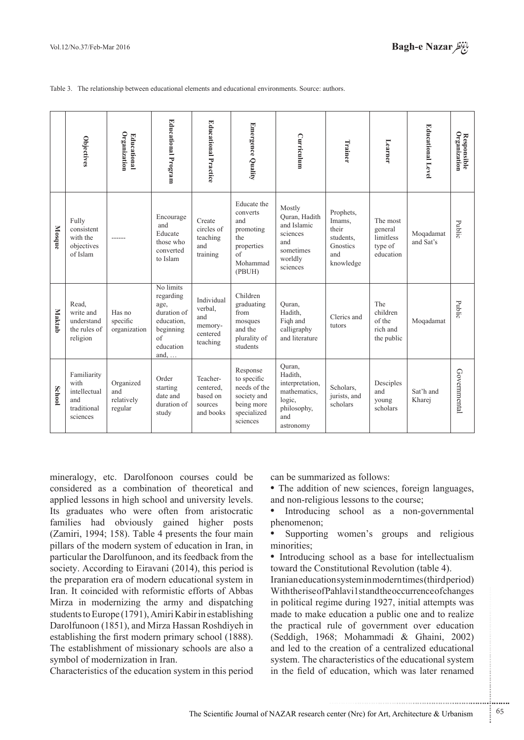Table 3. The relationship between educational elements and educational environments. Source: authors.

|               | Objectives                                                            | Organization<br><b>Educational</b>        | <b>Educational Program</b>                                                                                  | <b>Educational Practice</b>                                     | Emergence Quality                                                                                    | Curriculum                                                                                        | Trainer                                                                   | Learner                                                  | <b>Educational Level</b> | <b>Responsible</b><br>Organization |
|---------------|-----------------------------------------------------------------------|-------------------------------------------|-------------------------------------------------------------------------------------------------------------|-----------------------------------------------------------------|------------------------------------------------------------------------------------------------------|---------------------------------------------------------------------------------------------------|---------------------------------------------------------------------------|----------------------------------------------------------|--------------------------|------------------------------------|
| Mosque        | Fully<br>consistent<br>with the<br>objectives<br>of Islam             |                                           | Encourage<br>and<br>Educate<br>those who<br>converted<br>to Islam                                           | Create<br>circles of<br>teaching<br>and<br>training             | Educate the<br>converts<br>and<br>promoting<br>the<br>properties<br>$\sigma$ f<br>Mohammad<br>(PBUH) | Mostly<br>Ouran, Hadith<br>and Islamic<br>sciences<br>and<br>sometimes<br>worldly<br>sciences     | Prophets,<br>Imams,<br>their<br>students,<br>Gnostics<br>and<br>knowledge | The most<br>general<br>limitless<br>type of<br>education | Moqadamat<br>and Sat's   | Public                             |
| <b>Maktab</b> | Read.<br>write and<br>understand<br>the rules of<br>religion          | Has no<br>specific<br>organization        | No limits<br>regarding<br>age,<br>duration of<br>education.<br>beginning<br>of<br>education<br>and, $\dots$ | Individual<br>verbal,<br>and<br>memory-<br>centered<br>teaching | Children<br>graduating<br>from<br>mosques<br>and the<br>plurality of<br>students                     | Ouran,<br>Hadith,<br>Figh and<br>calligraphy<br>and literature                                    | Clerics and<br>tutors                                                     | The<br>children<br>of the<br>rich and<br>the public      | Moqadamat                | Public                             |
| <b>School</b> | Familiarity<br>with<br>intellectual<br>and<br>traditional<br>sciences | Organized<br>and<br>relatively<br>regular | Order<br>starting<br>date and<br>duration of<br>study                                                       | Teacher-<br>centered.<br>based on<br>sources<br>and books       | Response<br>to specific<br>needs of the<br>society and<br>being more<br>specialized<br>sciences      | Ouran,<br>Hadith,<br>interpretation,<br>mathematics.<br>logic,<br>philosophy,<br>and<br>astronomy | Scholars.<br>jurists, and<br>scholars                                     | Desciples<br>and<br>young<br>scholars                    | Sat'h and<br>Kharej      | Governmental                       |

mineralogy, etc. Darolfonoon courses could be considered as a combination of theoretical and applied lessons in high school and university levels. Its graduates who were often from aristocratic families had obviously gained higher posts  $(Zamiri, 1994; 158)$ . Table 4 presents the four main pillars of the modern system of education in Iran, in particular the Darolfunoon, and its feedback from the society. According to Eiravani  $(2014)$ , this period is the preparation era of modern educational system in Iran. It coincided with reformistic efforts of Abbas Mirza in modernizing the army and dispatching students to Europe (1791), Amiri Kabir in establishing Darolfunoon (1851), and Mirza Hassan Roshdiyeh in establishing the first modern primary school (1888). The establishment of missionary schools are also a symbol of modernization in Iran.

Characteristics of the education system in this period

can be summarized as follows:

• The addition of new sciences, foreign languages, and non-religious lessons to the course;

• Introducing school as a non-governmental phenomenon;

Supporting women's groups and religious minorities:

• Introducing school as a base for intellectualism toward the Constitutional Revolution (table 4).

Iranianeducation system in modern times (third period) With the rise of Pahlavi 1 stand the occurrence of changes in political regime during 1927, initial attempts was made to make education a public one and to realize the practical rule of government over education (Seddigh, 1968; Mohammadi & Ghaini, 2002) and led to the creation of a centralized educational system. The characteristics of the educational system in the field of education, which was later renamed

.......... ....... ........ ........... ...... ....... ........ .......... ...........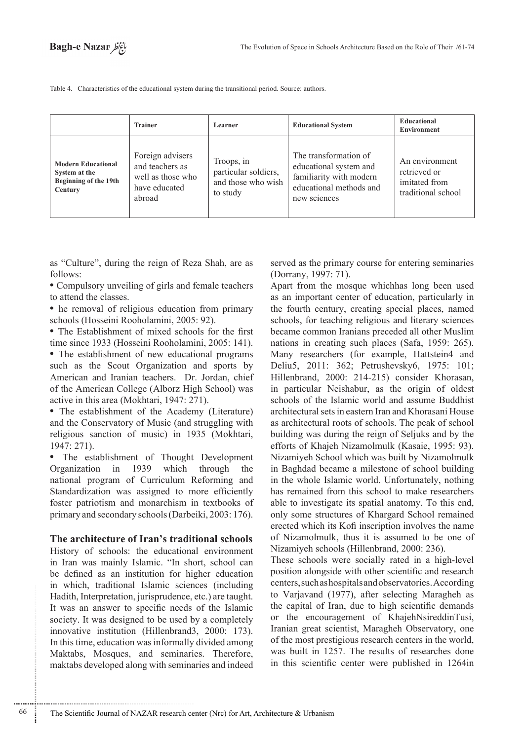Table 4. Characteristics of the educational system during the transitional period. Source: authors.

|                                                                                | <b>Trainer</b>                                                                      | Learner                                                              | <b>Educational System</b>                                                                                             | <b>Educational</b><br><b>Environment</b>                              |
|--------------------------------------------------------------------------------|-------------------------------------------------------------------------------------|----------------------------------------------------------------------|-----------------------------------------------------------------------------------------------------------------------|-----------------------------------------------------------------------|
| <b>Modern Educational</b><br>System at the<br>Beginning of the 19th<br>Century | Foreign advisers<br>and teachers as<br>well as those who<br>have educated<br>abroad | Troops, in<br>particular soldiers,<br>and those who wish<br>to study | The transformation of<br>educational system and<br>familiarity with modern<br>educational methods and<br>new sciences | An environment<br>retrieved or<br>imitated from<br>traditional school |

as "Culture", during the reign of Reza Shah, are as :follows

• Compulsory unveiling of girls and female teachers to attend the classes.

• he removal of religious education from primary schools (Hosseini Rooholamini, 2005: 92).

• The Establishment of mixed schools for the first time since 1933 (Hosseini Rooholamini, 2005: 141).

• The establishment of new educational programs such as the Scout Organization and sports by American and Iranian teachers. Dr. Jordan, chief of the American College (Alborz High School) was active in this area (Mokhtari,  $1947: 271$ ).

• The establishment of the Academy (Literature) and the Conservatory of Music (and struggling with religious sanction of music) in 1935 (Mokhtari, 1947: 271).

• The establishment of Thought Development Organization in 1939 which through the national program of Curriculum Reforming and Standardization was assigned to more efficiently foster patriotism and monarchism in textbooks of primary and secondary schools (Darbeiki, 2003: 176).

#### The architecture of Iran's traditional schools

History of schools: the educational environment in Iran was mainly Islamic. "In short, school can be defined as an institution for higher education in which, traditional Islamic sciences (including Hadith, Interpretation, jurisprudence, etc.) are taught. It was an answer to specific needs of the Islamic society. It was designed to be used by a completely innovative institution (Hillenbrand 3, 2000: 173). In this time, education was informally divided among Maktabs, Mosques, and seminaries. Therefore, maktabs developed along with seminaries and indeed

............................................................

served as the primary course for entering seminaries (Dorrany, 1997: 71).

Apart from the mosque whichhas long been used as an important center of education, particularly in the fourth century, creating special places, named schools, for teaching religious and literary sciences became common Iranians preceded all other Muslim nations in creating such places (Safa, 1959: 265). Many researchers (for example, Hattstein4 and Deliu5, 2011: 362; Petrushevsky6, 1975: 101; Hillenbrand, 2000: 214-215) consider Khorasan, in particular Neishabur, as the origin of oldest schools of the Islamic world and assume Buddhist architectural sets in eastern Iran and Khorasani House as architectural roots of schools. The peak of school building was during the reign of Seljuks and by the efforts of Khajeh Nizamolmulk (Kasaie, 1995: 93). Nizamiyeh School which was built by Nizamolmulk in Baghdad became a milestone of school building in the whole Islamic world. Unfortunately, nothing has remained from this school to make researchers able to investigate its spatial anatomy. To this end, only some structures of Khargard School remained erected which its Kofi inscription involves the name of Nizamolmulk, thus it is assumed to be one of Nizamiyeh schools (Hillenbrand, 2000: 236).

These schools were socially rated in a high-level position alongside with other scientific and research centers, such as hospitals and observatories. According to Varjavand (1977), after selecting Maragheh as the capital of Iran, due to high scientific demands or the encouragement of KhajehNsireddinTusi, Iranian great scientist, Maragheh Observatory, one of the most prestigious research centers in the world. was built in 1257. The results of researches done in this scientific center were published in 1264 in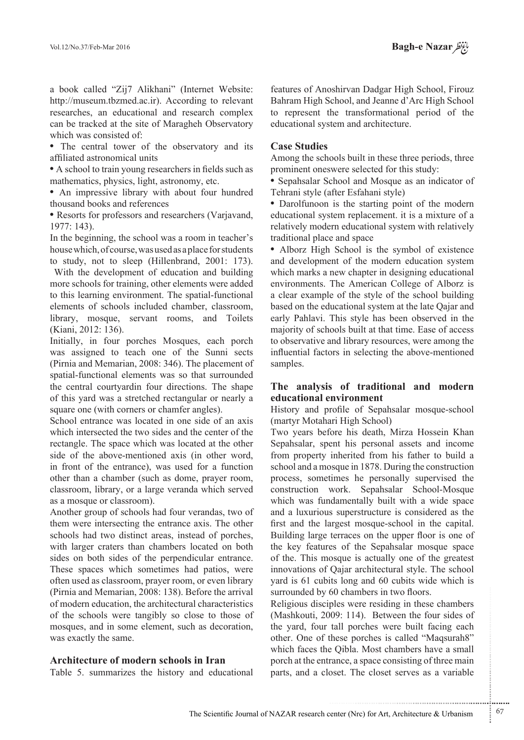a book called "Zij7 Alikhani" (Internet Website: http://museum.tbzmed.ac.ir). According to relevant researches, an educational and research complex can be tracked at the site of Maragheh Observatory which was consisted of:

• The central tower of the observatory and its affiliated astronomical units

• A school to train young researchers in fields such as mathematics, physics, light, astronomy, etc.

• An impressive library with about four hundred thousand books and references

• Resorts for professors and researchers (Varjavand, 1977: 143).

In the beginning, the school was a room in teacher's house which, of course, was used as a place for students to study, not to sleep (Hillenbrand,  $2001: 173$ ).

With the development of education and building more schools for training, other elements were added to this learning environment. The spatial-functional elements of schools included chamber, classroom, library, mosque, servant rooms, and Toilets (Kiani, 2012: 136).

Initially, in four porches Mosques, each porch was assigned to teach one of the Sunni sects (Pirnia and Memarian,  $2008: 346$ ). The placement of spatial-functional elements was so that surrounded the central courtyardin four directions. The shape of this yard was a stretched rectangular or nearly a square one (with corners or chamfer angles).

School entrance was located in one side of an axis which intersected the two sides and the center of the rectangle. The space which was located at the other side of the above-mentioned axis (in other word, in front of the entrance), was used for a function other than a chamber (such as dome, prayer room, classroom, library, or a large veranda which served as a mosque or classroom).

Another group of schools had four verandas, two of them were intersecting the entrance axis. The other schools had two distinct areas, instead of porches, with larger craters than chambers located on both sides on both sides of the perpendicular entrance. These spaces which sometimes had patios, were often used as classroom, prayer room, or even library  $P^T$  (Pirnia and Memarian, 2008: 138). Before the arrival of modern education, the architectural characteristics of the schools were tangibly so close to those of mosques, and in some element, such as decoration, was exactly the same.

#### **Architecture of modern schools in Iran**

Table 5. summarizes the history and educational

features of Anoshirvan Dadgar High School, Firouz Bahram High School, and Jeanne d'Arc High School to represent the transformational period of the educational system and architecture.

#### **Case Studies**

Among the schools built in these three periods, three prominent oneswere selected for this study:

• Sepahsalar School and Mosque as an indicator of Tehrani style (after Esfahani style)

• Darolfunoon is the starting point of the modern educational system replacement. it is a mixture of a relatively modern educational system with relatively traditional place and space

• Alborz High School is the symbol of existence and development of the modern education system which marks a new chapter in designing educational environments. The American College of Alborz is a clear example of the style of the school building based on the educational system at the late Qajar and early Pahlavi. This style has been observed in the majority of schools built at that time. Ease of access to observative and library resources, were among the influential factors in selecting the above-mentioned samples.

#### The analysis of traditional and modern **educational environment**

History and profile of Sepahsalar mosque-school (martyr Motahari High School)

Two years before his death, Mirza Hossein Khan Sepahsalar, spent his personal assets and income from property inherited from his father to build a school and a mosque in 1878. During the construction process, sometimes he personally supervised the construction work. Sepahsalar School-Mosque which was fundamentally built with a wide space and a luxurious superstructure is considered as the first and the largest mosque-school in the capital. Building large terraces on the upper floor is one of the key features of the Sepahsalar mosque space of the. This mosque is actually one of the greatest innovations of Qajar architectural style. The school yard is 61 cubits long and 60 cubits wide which is surrounded by 60 chambers in two floors.

Religious disciples were residing in these chambers (Mashkouti, 2009: 114). Between the four sides of the yard, four tall porches were built facing each other. One of these porches is called "Maqsurah8" which faces the Oibla. Most chambers have a small porch at the entrance, a space consisting of three main parts, and a closet. The closet serves as a variable

.......... ....... ........ ........... ...... ....... ........ .......... ...........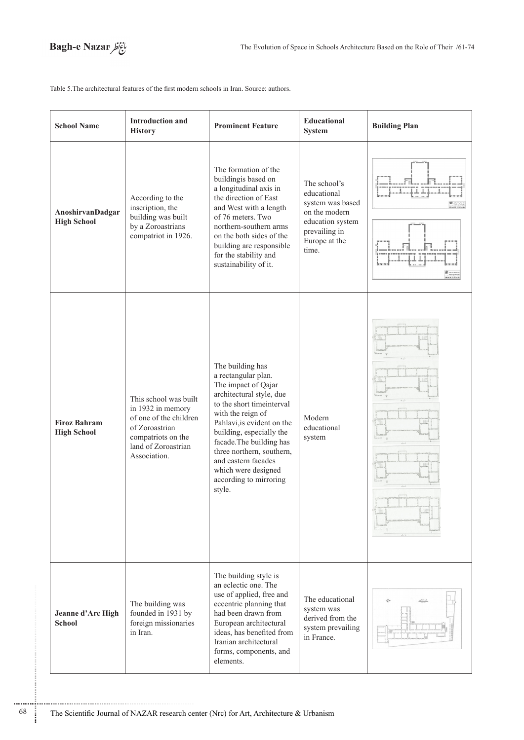

Table 5. The architectural features of the first modern schools in Iran. Source: authors.

| <b>School Name</b>                        | <b>Introduction and</b><br><b>History</b>                                                                                                           | <b>Prominent Feature</b>                                                                                                                                                                                                                                                                                                                              | Educational<br>System                                                                                                           | <b>Building Plan</b> |  |
|-------------------------------------------|-----------------------------------------------------------------------------------------------------------------------------------------------------|-------------------------------------------------------------------------------------------------------------------------------------------------------------------------------------------------------------------------------------------------------------------------------------------------------------------------------------------------------|---------------------------------------------------------------------------------------------------------------------------------|----------------------|--|
| AnoshirvanDadgar<br><b>High School</b>    | According to the<br>inscription, the<br>building was built<br>by a Zoroastrians<br>compatriot in 1926.                                              | The formation of the<br>buildingis based on<br>a longitudinal axis in<br>the direction of East<br>and West with a length<br>of 76 meters. Two<br>northern-southern arms<br>on the both sides of the<br>building are responsible<br>for the stability and<br>sustainability of it.                                                                     | The school's<br>educational<br>system was based<br>on the modern<br>education system<br>prevailing in<br>Europe at the<br>time. |                      |  |
| <b>Firoz Bahram</b><br><b>High School</b> | This school was built<br>in 1932 in memory<br>of one of the children<br>of Zoroastrian<br>compatriots on the<br>land of Zoroastrian<br>Association. | The building has<br>a rectangular plan.<br>The impact of Qajar<br>architectural style, due<br>to the short time<br>interval<br>with the reign of<br>Pahlavi, is evident on the<br>building, especially the<br>facade. The building has<br>three northern, southern,<br>and eastern facades<br>which were designed<br>according to mirroring<br>style. | Modern<br>educational<br>system                                                                                                 |                      |  |
| Jeanne d'Arc High<br><b>School</b>        | The building was<br>founded in 1931 by<br>foreign missionaries<br>in Iran.                                                                          | The building style is<br>an eclectic one. The<br>use of applied, free and<br>eccentric planning that<br>had been drawn from<br>European architectural<br>ideas, has benefited from<br>Iranian architectural<br>forms, components, and<br>elements.                                                                                                    | The educational<br>system was<br>derived from the<br>system prevailing<br>in France.                                            |                      |  |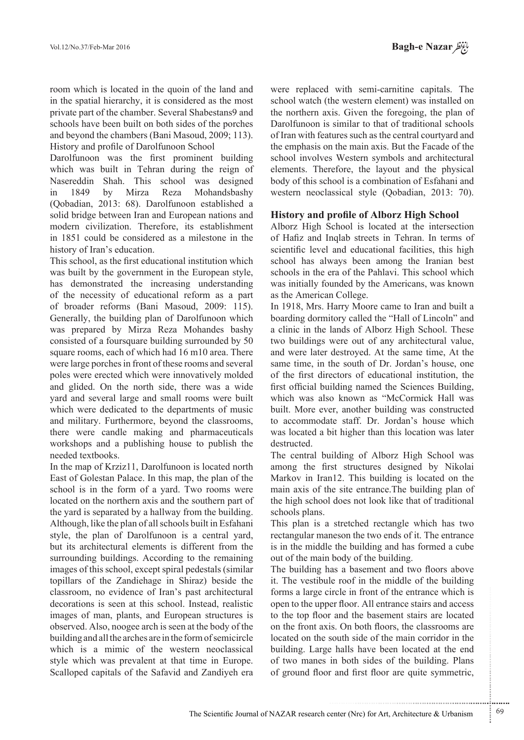room which is located in the quoin of the land and in the spatial hierarchy, it is considered as the most private part of the chamber. Several Shabestans 9 and schools have been built on both sides of the porches and beyond the chambers (Bani Masoud, 2009; 113). History and profile of Darolfunoon School

Darolfunoon was the first prominent building which was built in Tehran during the reign of Nasereddin Shah. This school was designed in 1849 by Mirza Reza Mohandsbashy (Qobadian, 2013: 68). Darolfunoon established a solid bridge between Iran and European nations and modern civilization. Therefore, its establishment in 1851 could be considered as a milestone in the history of Iran's education.

This school, as the first educational institution which was built by the government in the European style, has demonstrated the increasing understanding of the necessity of educational reform as a part of broader reforms (Bani Masoud, 2009: 115). Generally, the building plan of Darolfunoon which was prepared by Mirza Reza Mohandes bashy consisted of a foursquare building surrounded by 50 square rooms, each of which had 16 m10 area. There were large porches in front of these rooms and several poles were erected which were innovatively molded and glided. On the north side, there was a wide yard and several large and small rooms were built which were dedicated to the departments of music and military. Furthermore, beyond the classrooms, there were candle making and pharmaceuticals workshops and a publishing house to publish the needed textbooks.

In the map of Krziz 11, Darolfunoon is located north East of Golestan Palace. In this map, the plan of the school is in the form of a yard. Two rooms were located on the northern axis and the southern part of the yard is separated by a hallway from the building. Although, like the plan of all schools built in Esfahani style, the plan of Darolfunoon is a central vard, but its architectural elements is different from the surrounding buildings. According to the remaining images of this school, except spiral pedestals (similar topillars of the Zandiehage in Shiraz) beside the classroom, no evidence of Iran's past architectural decorations is seen at this school. Instead, realistic images of man, plants, and European structures is observed. Also, noogee arch is seen at the body of the building and all the arches are in the form of semicircle which is a mimic of the western neoclassical style which was prevalent at that time in Europe. Scalloped capitals of the Safavid and Zandiyeh era

were replaced with semi-carnitine capitals. The school watch (the western element) was installed on the northern axis. Given the foregoing, the plan of Darolfunoon is similar to that of traditional schools of Iran with features such as the central courtyard and the emphasis on the main axis. But the Facade of the school involves Western symbols and architectural elements. Therefore, the layout and the physical body of this school is a combination of Esfahani and western neoclassical style (Qobadian, 2013: 70).

## **History and profile of Alborz High School**

Alborz High School is located at the intersection of Hafiz and Inqlab streets in Tehran. In terms of scientific level and educational facilities, this high school has always been among the Iranian best schools in the era of the Pahlavi. This school which was initially founded by the Americans, was known as the American College.

In 1918, Mrs. Harry Moore came to Iran and built a boarding dormitory called the "Hall of Lincoln" and a clinic in the lands of Alborz High School. These two buildings were out of any architectural value, and were later destroyed. At the same time, At the same time, in the south of Dr. Jordan's house, one of the first directors of educational institution, the first official building named the Sciences Building, which was also known as "McCormick Hall was built. More ever, another building was constructed to accommodate staff. Dr. Jordan's house which was located a bit higher than this location was later destructed.

The central building of Alborz High School was among the first structures designed by Nikolai Markov in Iran12. This building is located on the main axis of the site entrance. The building plan of the high school does not look like that of traditional schools plans.

This plan is a stretched rectangle which has two rectangular maneson the two ends of it. The entrance is in the middle the building and has formed a cube out of the main body of the building.

The building has a basement and two floors above it. The vestibule roof in the middle of the building. forms a large circle in front of the entrance which is open to the upper floor. All entrance stairs and access to the top floor and the basement stairs are located on the front axis. On both floors, the classrooms are located on the south side of the main corridor in the building. Large halls have been located at the end of two manes in both sides of the building. Plans of ground floor and first floor are quite symmetric,

.......... ....... ........ ........... ...... ....... ........ .......... ...........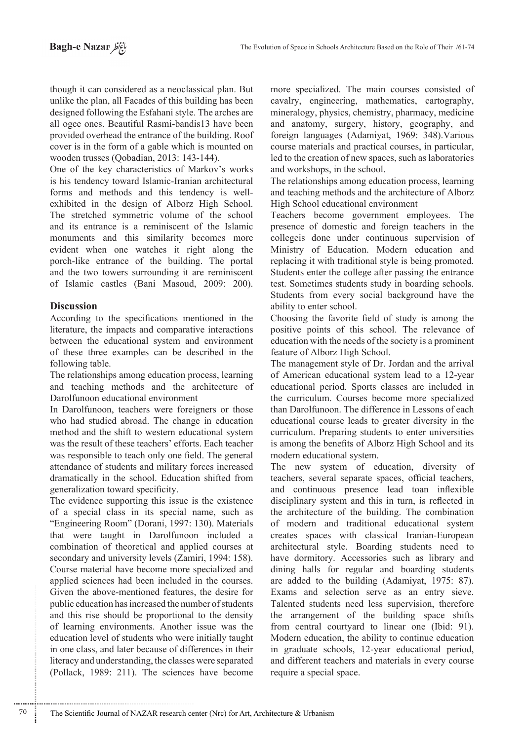though it can considered as a neoclassical plan. But unlike the plan, all Facades of this building has been designed following the Esfahani style. The arches are all ogee ones. Beautiful Rasmi-bandis13 have been provided overhead the entrance of the building. Roof cover is in the form of a gable which is mounted on wooden trusses (Qobadian, 2013: 143-144).

One of the key characteristics of Markov's works is his tendency toward Islamic-Iranian architectural exhibited in the design of Alborz High School. forms and methods and this tendency is well-The stretched symmetric volume of the school and its entrance is a reminiscent of the Islamic monuments and this similarity becomes more evident when one watches it right along the porch-like entrance of the building. The portal and the two towers surrounding it are reminiscent of Islamic castles (Bani Masoud, 2009: 200).

# **Discussion**

According to the specifications mentioned in the literature, the impacts and comparative interactions between the educational system and environment of these three examples can be described in the following table.

The relationships among education process, learning and teaching methods and the architecture of Darolfunoon educational environment

In Darolfunoon, teachers were foreigners or those who had studied abroad. The change in education method and the shift to western educational system was the result of these teachers' efforts. Each teacher was responsible to teach only one field. The general attendance of students and military forces increased dramatically in the school. Education shifted from generalization toward specificity.

The evidence supporting this issue is the existence of a special class in its special name, such as "Engineering Room" (Dorani, 1997: 130). Materials that were taught in Darolfunoon included a combination of theoretical and applied courses at secondary and university levels (Zamiri, 1994: 158). Course material have become more specialized and applied sciences had been included in the courses. Given the above-mentioned features, the desire for public education has increased the number of students and this rise should be proportional to the density of learning environments. Another issue was the education level of students who were initially taught in one class, and later because of differences in their literacy and understanding, the classes were separated (Pollack, 1989: 211). The sciences have become

more specialized. The main courses consisted of cavalry, engineering, mathematics, cartography, mineralogy, physics, chemistry, pharmacy, medicine and anatomy, surgery, history, geography, and foreign languages (Adamiyat, 1969: 348). Various course materials and practical courses, in particular, led to the creation of new spaces, such as laboratories and workshops, in the school.

The relationships among education process, learning and teaching methods and the architecture of Alborz High School educational environment

Teachers become government employees. The presence of domestic and foreign teachers in the collegeis done under continuous supervision of Ministry of Education. Modern education and replacing it with traditional style is being promoted. Students enter the college after passing the entrance test. Sometimes students study in boarding schools. Students from every social background have the ability to enter school.

Choosing the favorite field of study is among the positive points of this school. The relevance of education with the needs of the society is a prominent feature of Alborz High School.

The management style of Dr. Jordan and the arrival of American educational system lead to a 12-year educational period. Sports classes are included in the curriculum. Courses become more specialized than Darolfunoon. The difference in Lessons of each educational course leads to greater diversity in the curriculum. Preparing students to enter universities is among the benefits of Alborz High School and its modern educational system.

The new system of education, diversity of teachers, several separate spaces, official teachers, and continuous presence lead toan inflexible disciplinary system and this in turn, is reflected in the architecture of the building. The combination of modern and traditional educational system creates spaces with classical Iranian-European architectural style. Boarding students need to have dormitory. Accessories such as library and dining halls for regular and boarding students are added to the building (Adamiyat,  $1975: 87$ ). Exams and selection serve as an entry sieve. Talented students need less supervision, therefore the arrangement of the building space shifts from central courtyard to linear one (Ibid: 91). Modern education, the ability to continue education in graduate schools, 12-year educational period, and different teachers and materials in every course require a special space.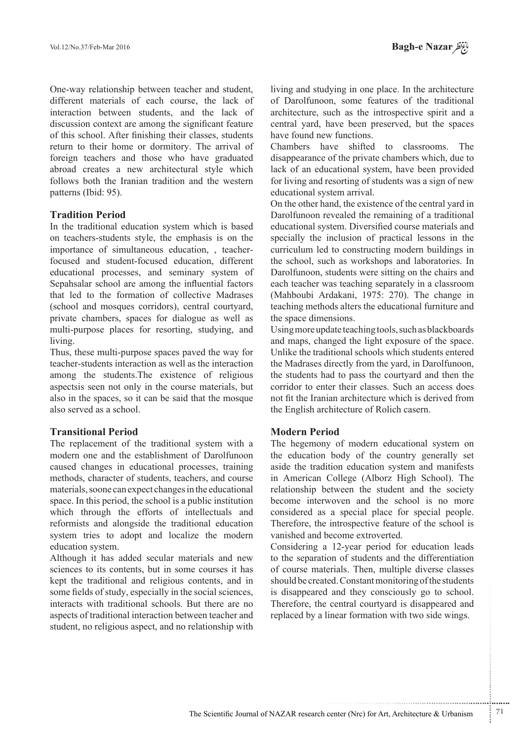One-way relationship between teacher and student, different materials of each course, the lack of interaction between students, and the lack of discussion context are among the significant feature of this school. After finishing their classes, students return to their home or dormitory. The arrival of foreign teachers and those who have graduated abroad creates a new architectural style which follows both the Iranian tradition and the western patterns (Ibid: 95).

## **Tradition Period**

In the traditional education system which is based on teachers-students style, the emphasis is on the focused and student-focused education, different importance of simultaneous education, , teachereducational processes, and seminary system of Sepahsalar school are among the influential factors that led to the formation of collective Madrases (school and mosques corridors), central courtyard, private chambers, spaces for dialogue as well as multi-purpose places for resorting, studying, and living.

Thus, these multi-purpose spaces paved the way for teacher-students interaction as well as the interaction among the students. The existence of religious aspectsis seen not only in the course materials, but also in the spaces, so it can be said that the mosque also served as a school.

## **Transitional Period**

The replacement of the traditional system with a modern one and the establishment of Darolfunoon caused changes in educational processes, training methods, character of students, teachers, and course materials, soone can expect changes in the educational space. In this period, the school is a public institution which through the efforts of intellectuals and reformists and alongside the traditional education system tries to adopt and localize the modern education system.

Although it has added secular materials and new sciences to its contents, but in some courses it has kept the traditional and religious contents, and in some fields of study, especially in the social sciences, interacts with traditional schools. But there are no aspects of traditional interaction between teacher and student, no religious aspect, and no relationship with

living and studying in one place. In the architecture of Darolfunoon, some features of the traditional architecture, such as the introspective spirit and a central yard, have been preserved, but the spaces have found new functions.

Chambers have shifted to classrooms The disappearance of the private chambers which, due to lack of an educational system, have been provided for living and resorting of students was a sign of new educational system arrival.

On the other hand, the existence of the central yard in Darolfunoon revealed the remaining of a traditional educational system. Diversified course materials and specially the inclusion of practical lessons in the curriculum led to constructing modern buildings in the school, such as workshops and laboratories. In Darolfunoon, students were sitting on the chairs and each teacher was teaching separately in a classroom (Mahboubi Ardakani, 1975: 270). The change in teaching methods alters the educational furniture and the space dimensions.

Using more update teaching tools, such as blackboards and maps, changed the light exposure of the space. Unlike the traditional schools which students entered the Madrases directly from the vard, in Darolfunoon, the students had to pass the courtyard and then the corridor to enter their classes. Such an access does not fit the Iranian architecture which is derived from the English architecture of Rolich casern.

## **Modern Period**

The hegemony of modern educational system on the education body of the country generally set aside the tradition education system and manifests in American College (Alborz High School). The relationship between the student and the society become interwoven and the school is no more considered as a special place for special people. Therefore, the introspective feature of the school is vanished and become extroverted.

Considering a 12-year period for education leads to the separation of students and the differentiation of course materials. Then, multiple diverse classes should be created. Constant monitoring of the students is disappeared and they consciously go to school. Therefore, the central courtyard is disappeared and replaced by a linear formation with two side wings.

.......... ....... ........ ........... ...... ....... ........ .......... ...........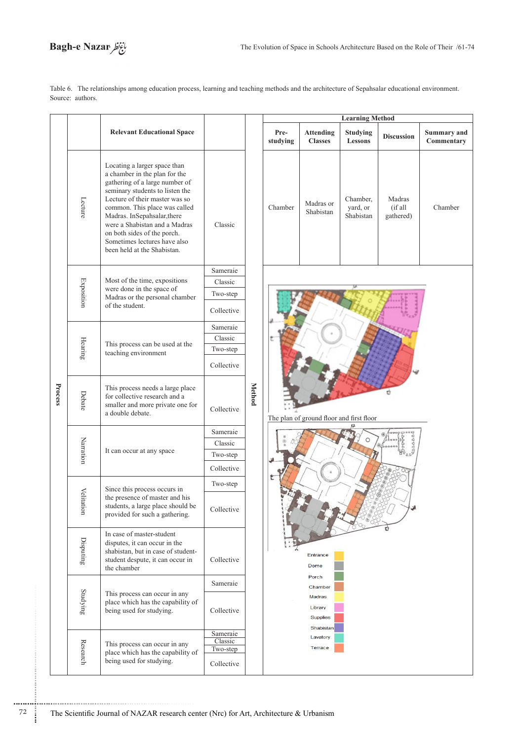# Bagh-e Nazar

Table 6. The relationships among education process, learning and teaching methods and the architecture of Sepahsalar educational environment. Source: authors.

|         |                                                                                                                         |                                                                                                                                                                                                                                                                                                                                                                     |            |               | <b>Learning Method</b>                                              |                                    |                                   |                                   |                                  |  |  |
|---------|-------------------------------------------------------------------------------------------------------------------------|---------------------------------------------------------------------------------------------------------------------------------------------------------------------------------------------------------------------------------------------------------------------------------------------------------------------------------------------------------------------|------------|---------------|---------------------------------------------------------------------|------------------------------------|-----------------------------------|-----------------------------------|----------------------------------|--|--|
|         |                                                                                                                         | <b>Relevant Educational Space</b>                                                                                                                                                                                                                                                                                                                                   |            |               | Pre-<br>studying                                                    | <b>Attending</b><br><b>Classes</b> | <b>Studying</b><br><b>Lessons</b> | <b>Discussion</b>                 | <b>Summary and</b><br>Commentary |  |  |
|         | Lecture                                                                                                                 | Locating a larger space than<br>a chamber in the plan for the<br>gathering of a large number of<br>seminary students to listen the<br>Lecture of their master was so<br>common. This place was called<br>Madras. InSepahsalar, there<br>were a Shabistan and a Madras<br>on both sides of the porch.<br>Sometimes lectures have also<br>been held at the Shabistan. | Classic    |               | Chamber                                                             | Madras or<br>Shabistan             | Chamber,<br>yard, or<br>Shabistan | Madras<br>$(i$ f all<br>gathered) | Chamber                          |  |  |
|         |                                                                                                                         |                                                                                                                                                                                                                                                                                                                                                                     | Sameraie   |               |                                                                     |                                    |                                   |                                   |                                  |  |  |
|         |                                                                                                                         | Most of the time, expositions                                                                                                                                                                                                                                                                                                                                       | Classic    |               |                                                                     |                                    |                                   |                                   |                                  |  |  |
|         | <b>Exposition</b>                                                                                                       | were done in the space of<br>Madras or the personal chamber                                                                                                                                                                                                                                                                                                         | Two-step   |               |                                                                     |                                    |                                   |                                   |                                  |  |  |
|         |                                                                                                                         | of the student.                                                                                                                                                                                                                                                                                                                                                     | Collective |               |                                                                     |                                    |                                   |                                   |                                  |  |  |
|         |                                                                                                                         | This process can be used at the<br>teaching environment                                                                                                                                                                                                                                                                                                             | Sameraie   |               |                                                                     |                                    |                                   |                                   |                                  |  |  |
| Process | Hearing                                                                                                                 |                                                                                                                                                                                                                                                                                                                                                                     | Classic    |               |                                                                     |                                    |                                   |                                   |                                  |  |  |
|         |                                                                                                                         |                                                                                                                                                                                                                                                                                                                                                                     | Two-step   |               |                                                                     |                                    |                                   |                                   |                                  |  |  |
|         |                                                                                                                         |                                                                                                                                                                                                                                                                                                                                                                     | Collective |               |                                                                     |                                    |                                   |                                   |                                  |  |  |
|         | Debate                                                                                                                  | This process needs a large place<br>for collective research and a<br>smaller and more private one for<br>a double debate.                                                                                                                                                                                                                                           | Collective | <b>Method</b> | The plan of ground floor and first floor                            |                                    |                                   |                                   |                                  |  |  |
|         | Narration                                                                                                               | It can occur at any space                                                                                                                                                                                                                                                                                                                                           | Sameraie   |               |                                                                     |                                    |                                   |                                   |                                  |  |  |
|         |                                                                                                                         |                                                                                                                                                                                                                                                                                                                                                                     | Classic    |               |                                                                     |                                    |                                   |                                   |                                  |  |  |
|         |                                                                                                                         |                                                                                                                                                                                                                                                                                                                                                                     | Two-step   |               |                                                                     |                                    |                                   |                                   |                                  |  |  |
|         |                                                                                                                         |                                                                                                                                                                                                                                                                                                                                                                     | Collective |               |                                                                     |                                    |                                   |                                   |                                  |  |  |
|         |                                                                                                                         | Since this process occurs in                                                                                                                                                                                                                                                                                                                                        | Two-step   |               |                                                                     |                                    |                                   |                                   |                                  |  |  |
|         | Velita<br>the presence of master and his<br>tion<br>students, a large place should be<br>provided for such a gathering. | Collective                                                                                                                                                                                                                                                                                                                                                          |            |               |                                                                     |                                    |                                   |                                   |                                  |  |  |
|         | $\mathop{\mathrm{Disputing}}$                                                                                           | In case of master-student<br>disputes, it can occur in the<br>shabistan, but in case of student-<br>student despute, it can occur in<br>the chamber                                                                                                                                                                                                                 | Collective |               | Entrance<br>Dome<br>Porch                                           |                                    |                                   |                                   |                                  |  |  |
|         |                                                                                                                         |                                                                                                                                                                                                                                                                                                                                                                     | Sameraie   |               |                                                                     |                                    |                                   |                                   |                                  |  |  |
|         | $\operatorname{Studying}$                                                                                               | This process can occur in any<br>place which has the capability of<br>being used for studying.                                                                                                                                                                                                                                                                      | Collective |               | Chamber<br><b>Madras</b><br>Library<br><b>Supplies</b><br>Shabistan |                                    |                                   |                                   |                                  |  |  |
|         | Research                                                                                                                | Sameraie<br>Classic<br>This process can occur in any<br>Two-step<br>place which has the capability of<br>being used for studying.<br>Collective                                                                                                                                                                                                                     |            |               |                                                                     |                                    |                                   |                                   |                                  |  |  |
|         |                                                                                                                         |                                                                                                                                                                                                                                                                                                                                                                     |            |               |                                                                     |                                    |                                   |                                   |                                  |  |  |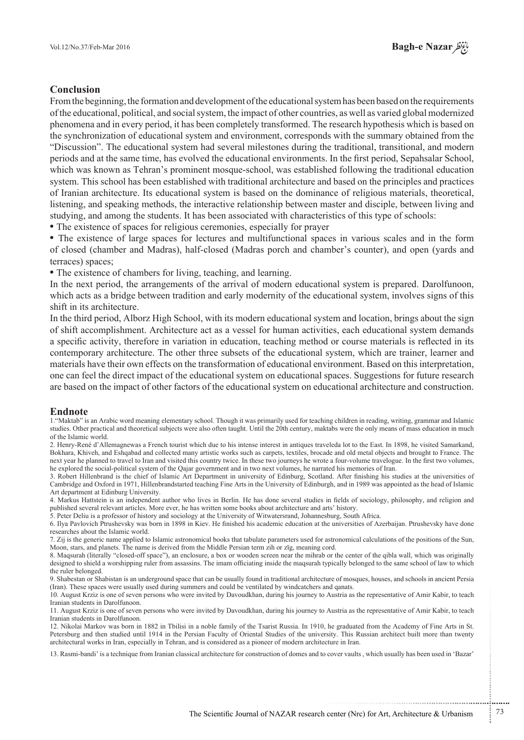## **Conclusion**

From the beginning, the formation and development of the educational system has been based on the requirements of the educational, political, and social system, the impact of other countries, as well as varied global modernized phenomena and in every period, it has been completely transformed. The research hypothesis which is based on the synchronization of educational system and environment, corresponds with the summary obtained from the "Discussion". The educational system had several milestones during the traditional, transitional, and modern periods and at the same time, has evolved the educational environments. In the first period, Sepahsalar School, which was known as Tehran's prominent mosque-school, was established following the traditional education system. This school has been established with traditional architecture and based on the principles and practices of Iranian architecture. Its educational system is based on the dominance of religious materials, theoretical, listening, and speaking methods, the interactive relationship between master and disciple, between living and studying, and among the students. It has been associated with characteristics of this type of schools:

• The existence of spaces for religious ceremonies, especially for prayer

• The existence of large spaces for lectures and multifunctional spaces in various scales and in the form of closed (chamber and Madras), half-closed (Madras porch and chamber's counter), and open (yards and terraces) spaces:

• The existence of chambers for living, teaching, and learning.

In the next period, the arrangements of the arrival of modern educational system is prepared. Darolfunoon, which acts as a bridge between tradition and early modernity of the educational system, involves signs of this shift in its architecture.

In the third period, Alborz High School, with its modern educational system and location, brings about the sign of shift accomplishment. Architecture act as a vessel for human activities, each educational system demands a specific activity, therefore in variation in education, teaching method or course materials is reflected in its contemporary architecture. The other three subsets of the educational system, which are trainer, learner and materials have their own effects on the transformation of educational environment. Based on this interpretation, one can feel the direct impact of the educational system on educational spaces. Suggestions for future research are based on the impact of other factors of the educational system on educational architecture and construction.

#### **Endnote**

1. "Maktab" is an Arabic word meaning elementary school. Though it was primarily used for teaching children in reading, writing, grammar and Islamic studies. Other practical and theoretical subjects were also often taught. Until the 20th century, maktabs were the only means of mass education in much of the Islamic world

2. Henry-René d'Allemagnewas a French tourist which due to his intense interest in antiques traveleda lot to the East. In 1898, he visited Samarkand. Bokhara. Khiveh. and Eshqabad and collected many artistic works such as carpets, textiles, brocade and old metal objects and brought to France. The next year he planned to travel to Iran and visited this country twice. In these two journeys he wrote a four-volume travelogue. In the first two volumes, he explored the social-political system of the Qajar government and in two next volumes, he narrated his memories of Iran.

3. Robert Hillenbrand is the chief of Islamic Art Department in university of Edinburg, Scotland. After finishing his studies at the universities of Cambridge and Oxford in 1971, Hillenbrandstarted teaching Fine Arts in the University of Edinburgh, and in 1989 was appointed as the head of Islamic Art department at Edinburg University.

4. Markus Hattstein is an independent author who lives in Berlin. He has done several studies in fields of sociology, philosophy, and religion and published several relevant articles. More ever, he has written some books about architecture and arts' history.

5. Peter Deliu is a professor of history and sociology at the University of Witwatersrand. Johannesburg, South Africa.

6. Ilya Pavlovich Ptrushevsky was born in 1898 in Kiev. He finished his academic education at the universities of Azerbaijan. Ptrushevsky have done researches about the Islamic world

7. Zij is the generic name applied to Islamic astronomical books that tabulate parameters used for astronomical calculations of the positions of the Sun, Moon, stars, and planets. The name is derived from the Middle Persian term zih or zīg, meaning cord.

8. Magsurah (literally "closed-off space"), an enclosure, a box or wooden screen near the mihrab or the center of the gibla wall, which was originally designed to shield a worshipping ruler from assassins. The imam officiating inside the maqsurah typically belonged to the same school of law to which the ruler belonged.

9. Shabestan or Shabistan is an underground space that can be usually found in traditional architecture of mosques, houses, and schools in ancient Persia (Iran). These spaces were usually used during summers and could be ventilated by windcatchers and ganats.

10. August Krziz is one of seven persons who were invited by Davoudkhan, during his journey to Austria as the representative of Amir Kabir, to teach Iranian students in Darolfunoon

11. August Krziz is one of seven persons who were invited by Davoudkhan, during his journey to Austria as the representative of Amir Kabir, to teach Iranian students in Darolfunoon.

12. Nikolai Markov was born in 1882 in Tbilisi in a noble family of the Tsarist Russia. In 1910, he graduated from the Academy of Fine Arts in St. Petersburg and then studied until 1914 in the Persian Faculty of Oriental Studies of the university. This Russian architect built more than twenty architectural works in Iran, especially in Tehran, and is considered as a pioneer of modern architecture in Iran.

13. Rasmi-bandi' is a technique from Iranian classical architecture for construction of domes and to cover vaults, which usually has been used in 'Bazar'

...........................................................

.......... ....... ........ ........... ...... ....... ........ .......... ...........